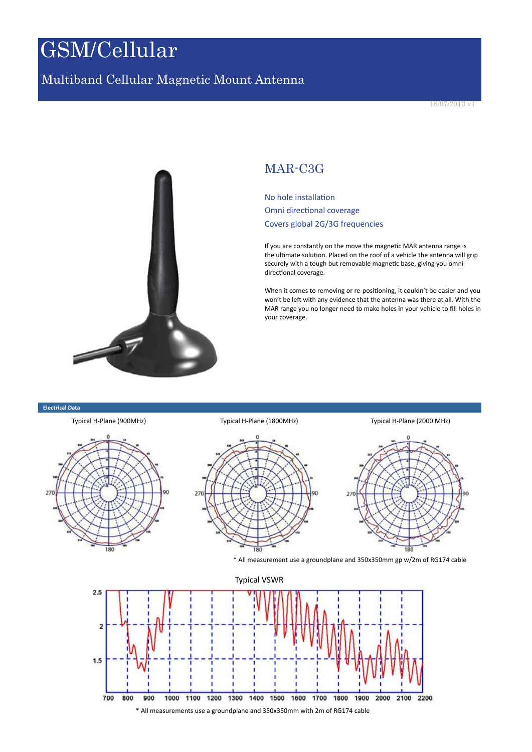# GSM/Cellular

### Multiband Cellular Magnetic Mount Antenna



### MAR-C3G

No hole installation Omni directional coverage Covers global 2G/3G frequencies

If you are constantly on the move the magnetic MAR antenna range is the ultimate solution. Placed on the roof of a vehicle the antenna will grip securely with a tough but removable magnetic base, giving you omnidirectional coverage.

When it comes to removing or re-positioning, it couldn't be easier and you won't be left with any evidence that the antenna was there at all. With the MAR range you no longer need to make holes in your vehicle to fill holes in your coverage.

#### **Electrical Data**

700



800 1000 1100 1200 1300 1400 1500 1600 1700 1800 1900 900 2000 2100 2200 \* All measurements use a groundplane and 350x350mm with 2m of RG174 cable